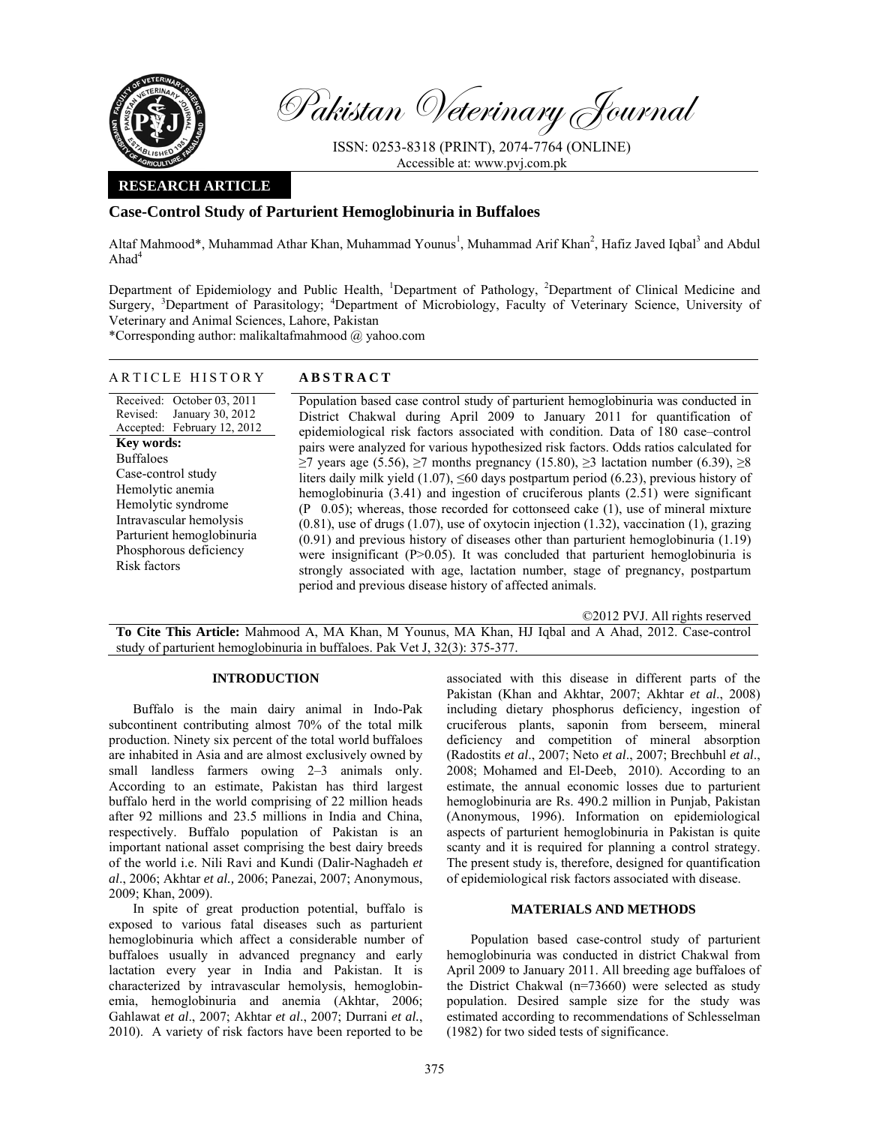

Pakistan Veterinary Journal

ISSN: 0253-8318 (PRINT), 2074-7764 (ONLINE) Accessible at: www.pvj.com.pk

## **RESEARCH ARTICLE**

# **Case-Control Study of Parturient Hemoglobinuria in Buffaloes**

Altaf Mahmood\*, Muhammad Athar Khan, Muhammad Younus<sup>1</sup>, Muhammad Arif Khan<sup>2</sup>, Hafiz Javed Iqbal<sup>3</sup> and Abdul Ahad $4$ 

Department of Epidemiology and Public Health, <sup>1</sup>Department of Pathology, <sup>2</sup>Department of Clinical Medicine and Surgery, <sup>3</sup>Department of Parasitology; <sup>4</sup>Department of Microbiology, Faculty of Veterinary Science, University of Veterinary and Animal Sciences, Lahore, Pakistan

\*Corresponding author: malikaltafmahmood @ yahoo.com

## ARTICLE HISTORY **ABSTRACT**

Received: October 03, 2011 Revised: January 30, 2012 Accepted: February 12, 2012 **Key words:**  Buffaloes Case-control study Hemolytic anemia Hemolytic syndrome Intravascular hemolysis Parturient hemoglobinuria Phosphorous deficiency Risk factors

Population based case control study of parturient hemoglobinuria was conducted in District Chakwal during April 2009 to January 2011 for quantification of epidemiological risk factors associated with condition. Data of 180 case–control pairs were analyzed for various hypothesized risk factors. Odds ratios calculated for  $≥7$  years age (5.56),  $≥7$  months pregnancy (15.80),  $≥3$  lactation number (6.39),  $≥8$ liters daily milk yield (1.07),  $\leq 60$  days postpartum period (6.23), previous history of hemoglobinuria (3.41) and ingestion of cruciferous plants (2.51) were significant  $(P\ 0.05)$ ; whereas, those recorded for cottonseed cake (1), use of mineral mixture (0.81), use of drugs (1.07), use of oxytocin injection (1.32), vaccination (1), grazing (0.91) and previous history of diseases other than parturient hemoglobinuria (1.19) were insignificant  $(P>0.05)$ . It was concluded that parturient hemoglobinuria is strongly associated with age, lactation number, stage of pregnancy, postpartum period and previous disease history of affected animals.

©2012 PVJ. All rights reserved

**To Cite This Article:** Mahmood A, MA Khan, M Younus, MA Khan, HJ Iqbal and A Ahad, 2012. Case-control study of parturient hemoglobinuria in buffaloes. Pak Vet J, 32(3): 375-377.

## **INTRODUCTION**

Buffalo is the main dairy animal in Indo-Pak subcontinent contributing almost 70% of the total milk production. Ninety six percent of the total world buffaloes are inhabited in Asia and are almost exclusively owned by small landless farmers owing 2–3 animals only. According to an estimate, Pakistan has third largest buffalo herd in the world comprising of 22 million heads after 92 millions and 23.5 millions in India and China, respectively. Buffalo population of Pakistan is an important national asset comprising the best dairy breeds of the world i.e. Nili Ravi and Kundi (Dalir-Naghadeh *et al*., 2006; Akhtar *et al.,* 2006; Panezai, 2007; Anonymous, 2009; Khan, 2009).

In spite of great production potential, buffalo is exposed to various fatal diseases such as parturient hemoglobinuria which affect a considerable number of buffaloes usually in advanced pregnancy and early lactation every year in India and Pakistan. It is characterized by intravascular hemolysis, hemoglobinemia, hemoglobinuria and anemia (Akhtar, 2006; Gahlawat *et al*., 2007; Akhtar *et al*., 2007; Durrani *et al.*, 2010). A variety of risk factors have been reported to be

associated with this disease in different parts of the Pakistan (Khan and Akhtar, 2007; Akhtar *et al*., 2008) including dietary phosphorus deficiency, ingestion of cruciferous plants, saponin from berseem, mineral deficiency and competition of mineral absorption (Radostits *et al*., 2007; Neto *et al*., 2007; Brechbuhl *et al*., 2008; Mohamed and El-Deeb, 2010). According to an estimate, the annual economic losses due to parturient hemoglobinuria are Rs. 490.2 million in Punjab, Pakistan (Anonymous, 1996). Information on epidemiological aspects of parturient hemoglobinuria in Pakistan is quite scanty and it is required for planning a control strategy. The present study is, therefore, designed for quantification of epidemiological risk factors associated with disease.

#### **MATERIALS AND METHODS**

Population based case-control study of parturient hemoglobinuria was conducted in district Chakwal from April 2009 to January 2011. All breeding age buffaloes of the District Chakwal (n=73660) were selected as study population. Desired sample size for the study was estimated according to recommendations of Schlesselman (1982) for two sided tests of significance.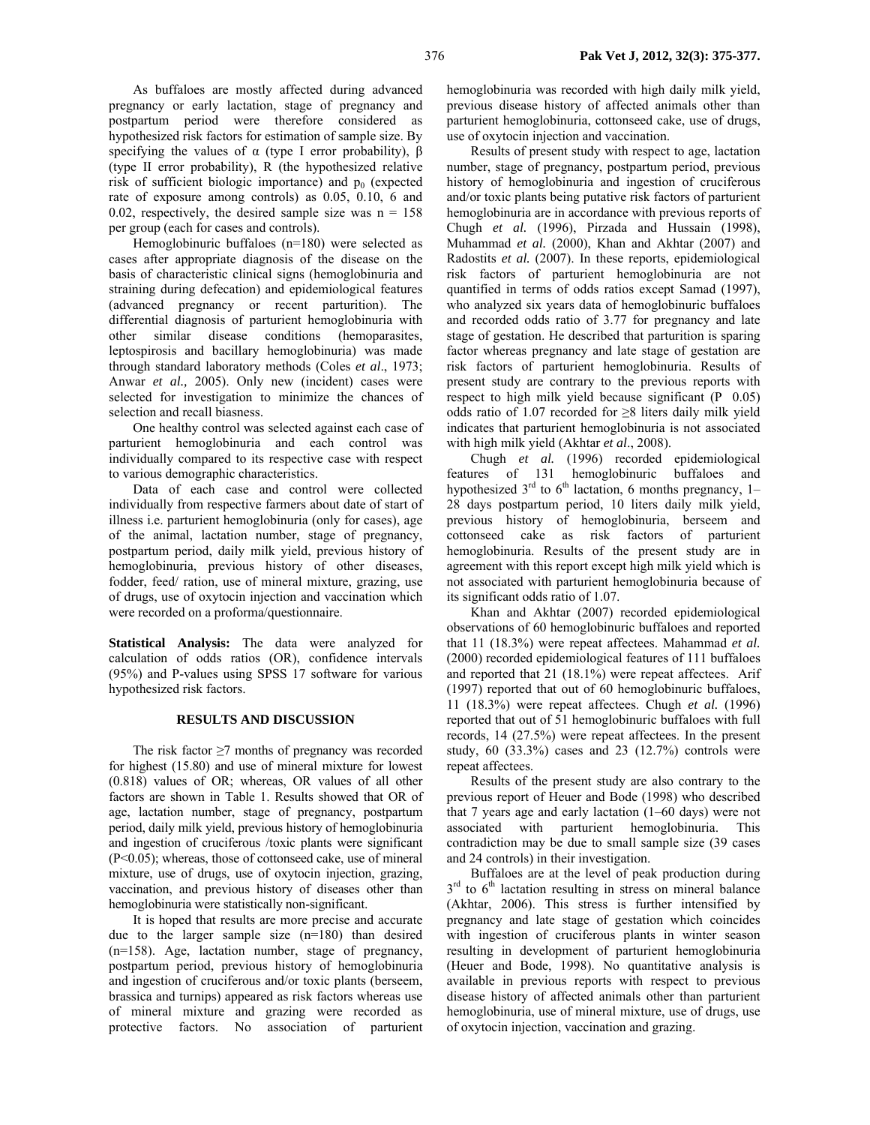As buffaloes are mostly affected during advanced pregnancy or early lactation, stage of pregnancy and postpartum period were therefore considered as hypothesized risk factors for estimation of sample size. By specifying the values of  $\alpha$  (type I error probability),  $\beta$ (type II error probability), R (the hypothesized relative risk of sufficient biologic importance) and  $p_0$  (expected rate of exposure among controls) as 0.05, 0.10, 6 and 0.02, respectively, the desired sample size was  $n = 158$ per group (each for cases and controls).

Hemoglobinuric buffaloes (n=180) were selected as cases after appropriate diagnosis of the disease on the basis of characteristic clinical signs (hemoglobinuria and straining during defecation) and epidemiological features (advanced pregnancy or recent parturition). The differential diagnosis of parturient hemoglobinuria with other similar disease conditions (hemoparasites, leptospirosis and bacillary hemoglobinuria) was made through standard laboratory methods (Coles *et al*., 1973; Anwar *et al.,* 2005). Only new (incident) cases were selected for investigation to minimize the chances of selection and recall biasness.

One healthy control was selected against each case of parturient hemoglobinuria and each control was individually compared to its respective case with respect to various demographic characteristics.

Data of each case and control were collected individually from respective farmers about date of start of illness i.e. parturient hemoglobinuria (only for cases), age of the animal, lactation number, stage of pregnancy, postpartum period, daily milk yield, previous history of hemoglobinuria, previous history of other diseases, fodder, feed/ ration, use of mineral mixture, grazing, use of drugs, use of oxytocin injection and vaccination which were recorded on a proforma/questionnaire.

**Statistical Analysis:** The data were analyzed for calculation of odds ratios (OR), confidence intervals (95%) and P-values using SPSS 17 software for various hypothesized risk factors.

#### **RESULTS AND DISCUSSION**

The risk factor ≥7 months of pregnancy was recorded for highest (15.80) and use of mineral mixture for lowest (0.818) values of OR; whereas, OR values of all other factors are shown in Table 1. Results showed that OR of age, lactation number, stage of pregnancy, postpartum period, daily milk yield, previous history of hemoglobinuria and ingestion of cruciferous /toxic plants were significant (P<0.05); whereas, those of cottonseed cake, use of mineral mixture, use of drugs, use of oxytocin injection, grazing, vaccination, and previous history of diseases other than hemoglobinuria were statistically non-significant.

It is hoped that results are more precise and accurate due to the larger sample size (n=180) than desired (n=158). Age, lactation number, stage of pregnancy, postpartum period, previous history of hemoglobinuria and ingestion of cruciferous and/or toxic plants (berseem, brassica and turnips) appeared as risk factors whereas use of mineral mixture and grazing were recorded as protective factors. No association of parturient

hemoglobinuria was recorded with high daily milk yield, previous disease history of affected animals other than parturient hemoglobinuria, cottonseed cake, use of drugs, use of oxytocin injection and vaccination.

Results of present study with respect to age, lactation number, stage of pregnancy, postpartum period, previous history of hemoglobinuria and ingestion of cruciferous and/or toxic plants being putative risk factors of parturient hemoglobinuria are in accordance with previous reports of Chugh *et al.* (1996), Pirzada and Hussain (1998), Muhammad *et al.* (2000), Khan and Akhtar (2007) and Radostits *et al.* (2007). In these reports, epidemiological risk factors of parturient hemoglobinuria are not quantified in terms of odds ratios except Samad (1997), who analyzed six years data of hemoglobinuric buffaloes and recorded odds ratio of 3.77 for pregnancy and late stage of gestation. He described that parturition is sparing factor whereas pregnancy and late stage of gestation are risk factors of parturient hemoglobinuria. Results of present study are contrary to the previous reports with respect to high milk yield because significant  $(P_0.05)$ odds ratio of 1.07 recorded for ≥8 liters daily milk yield indicates that parturient hemoglobinuria is not associated with high milk yield (Akhtar *et al*., 2008).

Chugh *et al.* (1996) recorded epidemiological features of 131 hemoglobinuric buffaloes and hypothesized  $3<sup>rd</sup>$  to 6<sup>th</sup> lactation, 6 months pregnancy, 1– 28 days postpartum period, 10 liters daily milk yield, previous history of hemoglobinuria, berseem and cottonseed cake as risk factors of parturient hemoglobinuria. Results of the present study are in agreement with this report except high milk yield which is not associated with parturient hemoglobinuria because of its significant odds ratio of 1.07.

Khan and Akhtar (2007) recorded epidemiological observations of 60 hemoglobinuric buffaloes and reported that 11 (18.3%) were repeat affectees. Mahammad *et al.* (2000) recorded epidemiological features of 111 buffaloes and reported that 21 (18.1%) were repeat affectees. Arif (1997) reported that out of 60 hemoglobinuric buffaloes, 11 (18.3%) were repeat affectees. Chugh *et al.* (1996) reported that out of 51 hemoglobinuric buffaloes with full records, 14 (27.5%) were repeat affectees. In the present study, 60 (33.3%) cases and 23 (12.7%) controls were repeat affectees.

Results of the present study are also contrary to the previous report of Heuer and Bode (1998) who described that 7 years age and early lactation (1–60 days) were not associated with parturient hemoglobinuria. This contradiction may be due to small sample size (39 cases and 24 controls) in their investigation.

Buffaloes are at the level of peak production during  $3<sup>rd</sup>$  to  $6<sup>th</sup>$  lactation resulting in stress on mineral balance (Akhtar, 2006). This stress is further intensified by pregnancy and late stage of gestation which coincides with ingestion of cruciferous plants in winter season resulting in development of parturient hemoglobinuria (Heuer and Bode, 1998). No quantitative analysis is available in previous reports with respect to previous disease history of affected animals other than parturient hemoglobinuria, use of mineral mixture, use of drugs, use of oxytocin injection, vaccination and grazing.